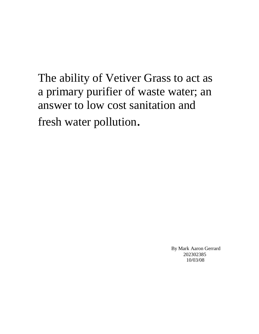The ability of Vetiver Grass to act as a primary purifier of waste water; an answer to low cost sanitation and fresh water pollution.

> By Mark Aaron Gerrard 202302385 10/03/08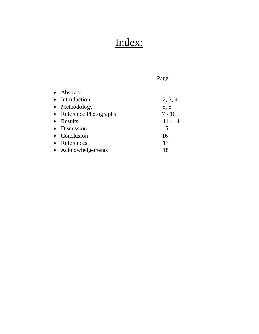# Index:

Page:

| $\bullet$ | Abstract                |           |
|-----------|-------------------------|-----------|
|           | • Introduction          | 2, 3, 4   |
|           | • Methodology           | 5, 6      |
|           | • Reference Photographs | $7 - 10$  |
| $\bullet$ | Results                 | $11 - 14$ |
|           | • Discussion            | 15        |
|           | • Conclusion            | 16        |
| $\bullet$ | References              | 17        |
|           | • Acknowledgements      | 18        |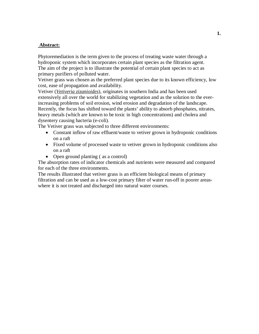### **Abstract:**

Phytoremediation is the term given to the process of treating waste water through a hydroponic system which incorporates certain plant species as the filtration agent. The aim of the project is to illustrate the potential of certain plant species to act as primary purifiers of polluted water.

Vetiver grass was chosen as the preferred plant species due to its known efficiency, low cost, ease of propagation and availability.

Vetiver (*Vetiveria zizanioides*), originates in southern India and has been used extensively all over the world for stabilizing vegetation and as the solution to the everincreasing problems of soil erosion, wind erosion and degradation of the landscape. Recently, the focus has shifted toward the plants' ability to absorb phosphates, nitrates, heavy metals (which are known to be toxic in high concentrations) and cholera and dysentery causing bacteria (e-coli).

The Vetiver grass was subjected to three different environments:

- Constant inflow of raw effluent/waste to vetiver grown in hydroponic conditions on a raft
- Fixed volume of processed waste to vetiver grown in hydroponic conditions also on a raft
- Open ground planting (as a control)

The absorption rates of indicator chemicals and nutrients were measured and compared for each of the three environments.

The results illustrated that vetiver grass is an efficient biological means of primary filtration and can be used as a low-cost primary filter of water run-off in poorer areaswhere it is not treated and discharged into natural water courses.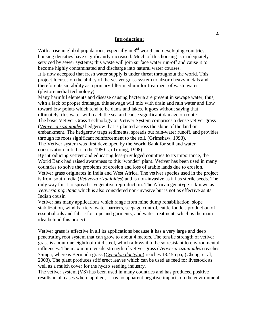#### **Introduction:**

With a rise in global populations, especially in  $3<sup>rd</sup>$  world and developing countries, housing densities have significantly increased. Much of this housing is inadequately serviced by sewer systems; this waste will join surface water run-off and cause it to become highly contaminated and discharge into natural water courses.

It is now accepted that fresh water supply is under threat throughout the world. This project focuses on the ability of the vetiver grass system to absorb heavy metals and therefore its suitability as a primary filter medium for treatment of waste water (phytoremedial technology).

Many harmful elements and disease causing bacteria are present in sewage water, thus, with a lack of proper drainage, this sewage will mix with drain and rain water and flow toward low points which tend to be dams and lakes. It goes without saying that ultimately, this water will reach the sea and cause significant damage on route. The basic Vetiver Grass Technology or Vetiver System comprises a dense vetiver grass (*Vetiveria zizanioides)* hedgerow that is planted across the slope of the land or embankment. The hedgerow traps sediments, spreads out rain-water runoff, and provides through its roots significant reinforcement to the soil, (Grimshaw, 1993). The Vetiver system was first developed by the World Bank for soil and water conservation in India in the 1980's, (Troung, 1998).

By introducing vetiver and educating less-privileged countries to its importance, the World Bank had raised awareness to this 'wonder' plant. Vetiver has been used in many countries to solve the problems of erosion and loss of arable lands due to erosion. Vetiver grass originates in India and West Africa. The vetiver species used in the project is from south India (*Vetiveria zizanioides*) and is non-invasive as it has sterile seeds. The only way for it to spread is vegetative reproduction. The African genotype is known as *Vetiveria nigritana* which is also considered non-invasive but is not as effective as its Indian cousin.

Vetiver has many applications which range from mine dump rehabilitation, slope stabilization, wind barriers, water barriers, seepage control, cattle fodder, production of essential oils and fabric for rope and garments, and water treatment, which is the main idea behind this project.

Vetiver grass is effective in all its applications because it has a very large and deep penetrating root system that can grow to about 4 meters. The tensile strength of vetiver grass is about one eighth of mild steel, which allows it to be so resistant to environmental influences. The maximum tensile strength of vetiver grass (*Vetiveria zizanioides*) reaches 75mpa, whereas Bermuda grass (*Cynodon dactylon*) reaches 13.45mpa, (Cheng, et al, 2003). The plant produces stiff erect leaves which can be used as feed for livestock as well as a mulch cover for the hydro seeding industry.

The vetiver system (VS) has been used in many countries and has produced positive results in all cases where applied, it has no apparent negative impacts on the environment.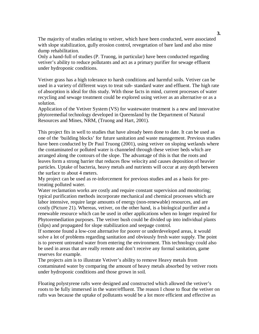The majority of studies relating to vetiver, which have been conducted, were associated with slope stabilization, gully erosion control, revegetation of bare land and also mine dump rehabilitation.

Only a hand-full of studies (P. Truong, in particular) have been conducted regarding vetiver's ability to reduce pollutants and act as a primary purifier for sewage effluent under hydroponic conditions.

Vetiver grass has a high tolerance to harsh conditions and harmful soils. Vetiver can be used in a variety of different ways to treat sub- standard water and effluent. The high rate of absorption is ideal for this study. With those facts in mind, current processes of water recycling and sewage treatment could be explored using vetiver as an alternative or as a solution.

Application of the Vetiver System (VS) for wastewater treatment is a new and innovative phytoremedial technology developed in Queensland by the Department of Natural Resources and Mines, NRM, (Truong and Hart, 2001).

This project fits in well to studies that have already been done to date. It can be used as one of the 'building blocks' for future sanitation and waste management. Previous studies have been conducted by Dr Paul Truong (2001), using vetiver on sloping wetlands where the contaminated or polluted water is channeled through these vetiver beds which are arranged along the contours of the slope. The advantage of this is that the roots and leaves form a strong barrier that reduces flow velocity and causes deposition of heavier particles. Uptake of bacteria, heavy metals and nutrients will occur at any depth between the surface to about 4 meters.

My project can be used as re-inforcement for previous studies and as a basis for pretreating polluted water.

Water reclamation works are costly and require constant supervision and monitoring; typical purification methods incorporate mechanical and chemical processes which are labor intensive, require large amounts of energy (non-renewable) resources, and are costly (Picture 21). Whereas, vetiver, on the other hand, is a biological purifier and a renewable resource which can be used in other applications when no longer required for Phytoremediation purposes. The vetiver bush could be divided up into individual plants (slips) and propagated for slope stabilization and seepage control.

If someone found a low-cost alternative for poorer or underdeveloped areas, it would solve a lot of problems regarding sanitation and obviously fresh water supply. The point is to prevent untreated water from entering the environment. This technology could also be used in areas that are really remote and don't receive any formal sanitation, game reserves for example.

The projects aim is to illustrate Vetiver's ability to remove Heavy metals from contaminated water by comparing the amount of heavy metals absorbed by vetiver roots under hydroponic conditions and those grown in soil.

Floating polystyrene rafts were designed and constructed which allowed the vetiver's roots to be fully immersed in the water/effluent. The reason I chose to float the vetiver on rafts was because the uptake of pollutants would be a lot more efficient and effective as

 **3.**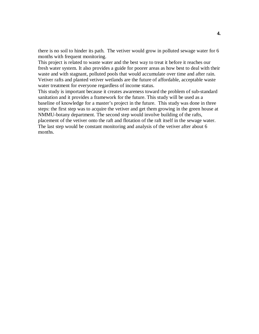there is no soil to hinder its path. The vetiver would grow in polluted sewage water for 6 months with frequent monitoring.

This project is related to waste water and the best way to treat it before it reaches our fresh water system. It also provides a guide for poorer areas as how best to deal with their waste and with stagnant, polluted pools that would accumulate over time and after rain. Vetiver rafts and planted vetiver wetlands are the future of affordable, acceptable waste water treatment for everyone regardless of income status.

This study is important because it creates awareness toward the problem of sub-standard sanitation and it provides a framework for the future. This study will be used as a baseline of knowledge for a master's project in the future. This study was done in three steps: the first step was to acquire the vetiver and get them growing in the green house at NMMU-botany department. The second step would involve building of the rafts, placement of the vetiver onto the raft and flotation of the raft itself in the sewage water. The last step would be constant monitoring and analysis of the vetiver after about 6 months.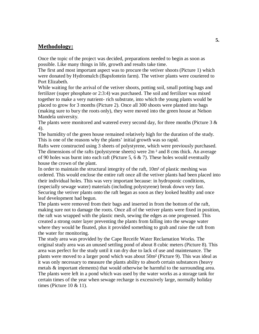### **Methodology:**

Once the topic of the project was decided, preparations needed to begin as soon as possible. Like many things in life, growth and results take time.

The first and most important aspect was to procure the vetiver shoots (Picture 1) which were donated by Hydromulch (Bapsfontein farm). The vetiver plants were couriered to Port Elizabeth.

While waiting for the arrival of the vetiver shoots, potting soil, small potting bags and fertilizer (super phosphate or 2:3:4) was purchased. The soil and fertilizer was mixed together to make a very nutrient- rich substrate, into which the young plants would be placed to grow for 3 months (Picture 2). Once all 300 shoots were planted into bags (making sure to bury the roots only), they were moved into the green house at Nelson Mandela university.

The plants were monitored and watered every second day, for three months (Picture 3 & 4).

The humidity of the green house remained relatively high for the duration of the study. This is one of the reasons why the plants' initial growth was so rapid.

Rafts were constructed using 3 sheets of polystyrene, which were previously purchased. The dimensions of the rafts (polystyrene sheets) were  $2m<sup>2</sup>$  and 8 cms thick. An average of 90 holes was burnt into each raft (Picture 5, 6  $\&$  7). These holes would eventually house the crown of the plant.

In order to maintain the structural integrity of the raft, 10m² of plastic meshing was ordered. This would enclose the entire raft once all the vetiver plants had been placed into their individual holes. This was very important because: in hydroponic conditions, (especially sewage water) materials (including polystyrene) break down very fast. Securing the vetiver plants onto the raft began as soon as they looked healthy and once leaf development had begun.

The plants were removed from their bags and inserted in from the bottom of the raft, making sure not to damage the roots. Once all of the vetiver plants were fixed in position, the raft was wrapped with the plastic mesh, sewing the edges as one progressed. This created a strong outer layer preventing the plants from falling into the sewage water where they would be floated, plus it provided something to grab and raise the raft from the water for monitoring.

The study area was provided by the Cape Receife Water Reclamation Works. The original study area was an unused settling pond of about 8 cubic meters (Picture 8). This area was perfect for the study until it ran dry due to lack of use and maintenance. The plants were moved to a larger pond which was about 50m² (Picture 9). This was ideal as it was only necessary to measure the plants ability to absorb certain substances (heavy metals & important elements) that would otherwise be harmful to the surrounding area. The plants were left in a pond which was used by the water works as a storage tank for certain times of the year when sewage recharge is excessively large, normally holiday times (Picture  $10 \& 11$ ).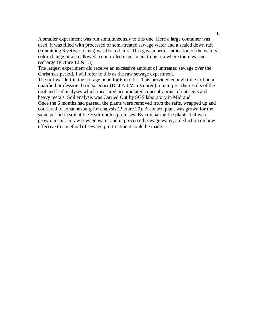A smaller experiment was run simultaneously to this one. Here a large container was used, it was filled with processed or semi-treated sewage water and a scaled down raft (containing 6 vetiver plants) was floated in it. This gave a better indication of the waters' color change; it also allowed a controlled experiment to be run where there was no recharge (Picture 12 & 13).

The largest experiment did receive an excessive amount of untreated sewage over the Christmas period. I will refer to this as the raw sewage experiment.

The raft was left in the storage pond for 6 months. This provided enough time to find a qualified professional soil scientist (Dr J A J Van Vuuren) to interpret the results of the root and leaf analyses which measured accumulated concentrations of nutrients and heavy metals. Soil analysis was Carried Out by SGS laboratory in Midrand.

Once the 6 months had passed, the plants were removed from the rafts, wrapped up and couriered to Johannesburg for analysis (Picture 20). A control plant was grown for the same period in soil at the Hydromulch premises. By comparing the plants that were grown in soil, in raw sewage water and in processed sewage water, a deduction on how effective this method of sewage pre-treatment could be made.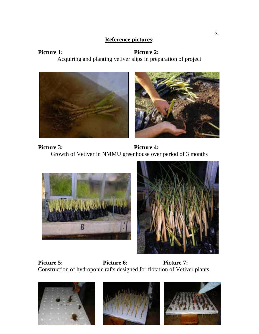### **Reference pictures**:

## Picture 1: Picture 2: Acquiring and planting vetiver slips in preparation of project



Picture 3: Picture 4: Growth of Vetiver in NMMU greenhouse over period of 3 months





Picture 5: Picture 6: Picture 7: Construction of hydroponic rafts designed for flotation of Vetiver plants.

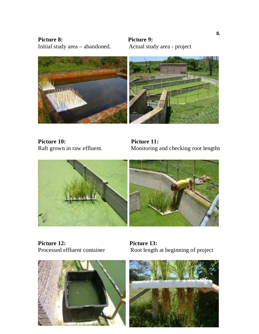Picture 8: Picture 9: Initial study area – abandoned. Actual study area - project



**Picture 10:**<br> **Picture 11:**<br> **Raft grown in raw effluent. Monitoring a** 

Monitoring and checking root lengths



**Picture 12:** Picture 13:<br>Processed effluent container Root length



Root length at beginning of project

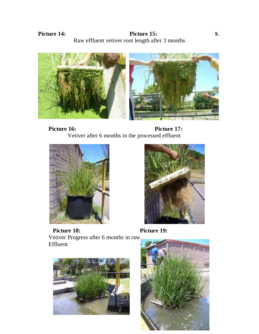**Picture 14: Picture 15:** 9. Raw effluent vetiver root length after 3 months







Effluent

Picture 18: Picture 19: Vetiver Progress after 6 months in raw



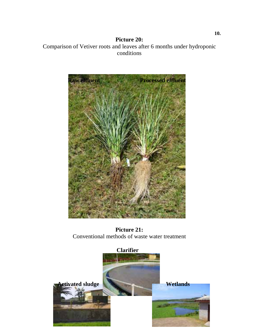**Picture 20:**  Comparison of Vetiver roots and leaves after 6 months under hydroponic conditions



**Picture 21:**  Conventional methods of waste water treatment

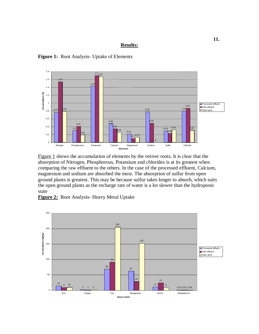#### **Results:**

**Figure 1:** Root Analysis- Uptake of Elements



Figure 1 shows the accumulation of elements by the vetiver roots. It is clear that the absorption of Nitrogen, Phosphorous, Potassium and chlorides is at its greatest when comparing the raw effluent to the others. In the case of the processed effluent, Calcium, magnesium and sodium are absorbed the most. The absorption of sulfur from open ground plants is greatest. This may be because sulfur takes longer to absorb, which suits the open ground plants as the recharge rate of water is a lot slower than the hydroponic state



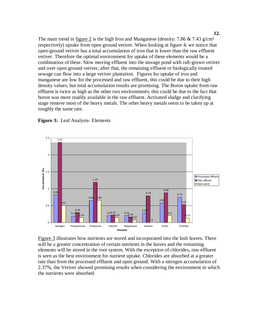The main trend in figure 2 is the high Iron and Manganese (density: 7.86  $& 7.43$  g/cm<sup>3</sup> respectively) uptake from open ground vetiver. When looking at figure 4; we notice that open-ground vetiver has a total accumulation of iron that is lower than the raw effluent vetiver. Therefore the optimal environment for uptake of these elements would be a combination of these. Slow moving effluent into the storage pond with raft-grown vetiver and over open ground vetiver, after that, the remaining effluent or biologically treated sewage can flow into a large vetiver plantation. Figures for uptake of iron and manganese are low for the processed and raw effluent, this could be due to their high density values, but total accumulation results are promising. The Boron uptake from raw effluent is twice as high as the other two environments; this could be due to the fact that boron was more readily available in the raw effluent. Activated sludge and clarifying stage remove most of the heavy metals. The other heavy metals seem to be taken up at roughly the same rate.



#### **Figure 3:** Leaf Analysis- Elements

Figure 3 illustrates how nutrients are stored and incorporated into the lush leaves. There will be a greater concentration of certain nutrients in the leaves and the remaining elements will be stored in the root system. With the exception of chlorides, raw effluent is seen as the best environment for nutrient uptake. Chlorides are absorbed at a greater rate than from the processed effluent and open ground. With a nitrogen accumulation of 2.37%, the Vetiver showed promising results when considering the environment in which the nutrients were absorbed.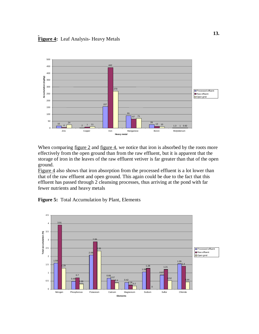

When comparing figure  $2$  and figure  $4$ , we notice that iron is absorbed by the roots more effectively from the open ground than from the raw effluent, but it is apparent that the storage of iron in the leaves of the raw effluent vetiver is far greater than that of the open ground.

Figure 4 also shows that iron absorption from the processed effluent is a lot lower than that of the raw effluent and open ground. This again could be due to the fact that this effluent has passed through 2 cleansing processes, thus arriving at the pond with far fewer nutrients and heavy metals

**Figure 5:** Total Accumulation by Plant, Elements

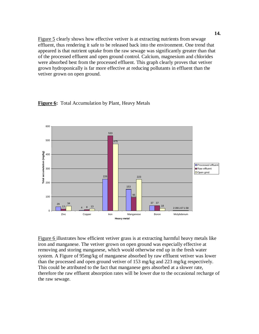Figure 5 clearly shows how effective vetiver is at extracting nutrients from sewage effluent, thus rendering it safe to be released back into the environment. One trend that appeared is that nutrient uptake from the raw sewage was significantly greater than that of the processed effluent and open ground control. Calcium, magnesium and chlorides were absorbed best from the processed effluent. This graph clearly proves that vetiver grown hydroponically is far more effective at reducing pollutants in effluent than the vetiver grown on open ground.





Figure 6 illustrates how efficient vetiver grass is at extracting harmful heavy metals like iron and manganese. The vetiver grown on open ground was especially effective at removing and storing manganese, which would otherwise end up in the fresh water system. A Figure of 95mg/kg of manganese absorbed by raw effluent vetiver was lower than the processed and open ground vetiver of 153 mg/kg and 223 mg/kg respectively. This could be attributed to the fact that manganese gets absorbed at a slower rate, therefore the raw effluent absorption rates will be lower due to the occasional recharge of the raw sewage.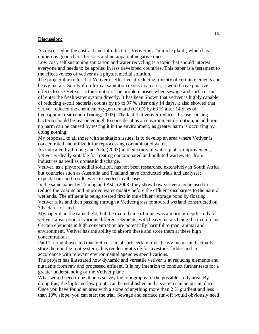#### **Discussion:**

As discussed in the abstract and introduction, Vetiver is a 'miracle plant', which has numerous good characteristics and no apparent negative ones.

Low cost, self sustaining sanitation and water recycling is a topic that should interest everyone and needs to be applied in less developed countries. This paper is a testament to the effectiveness of vetiver as a phytoremedial solution.

The project illustrates that Vetiver is effective at reducing toxicity of certain elements and heavy metals. Surely if no formal sanitation exists in an area, it would have positive effects to use Vetiver as the solution. The problem arises when sewage and surface runoff enter the fresh water system directly. It has been Shown that vetiver is highly capable of reducing e-coli bacterial counts by up to 97 % after only 14 days, it also showed that vetiver reduced the chemical oxygen demand (COD) by 63 % after 14 days of hydroponic treatment, (Truong, 2003). The fact that vetiver reduces disease causing bacteria should be reason enough to consider it as an environmental solution, in addition: no harm can be caused by testing it in the environment, as greater harm is occurring by doing nothing.

My proposal, to all those with sanitation issues, is to develop an area where Vetiver is concentrated and utilize it for reprocessing contaminated water.

As indicated by Truong and Ash, (2003) in their study of water quality improvement, vetiver is ideally suitable for treating contaminated and polluted wastewater from industries as well as domestic discharge.

Vetiver, as a phytoremedial solution, has not been researched extensively in South Africa but countries such as Australia and Thailand have conducted trials and analyses; expectations and results were exceeded in all cases.

In the same paper by Truong and Ash, (2003) they show how vetiver can be used to reduce the volume and improve water quality before the effluent discharges to the natural wetlands. The effluent is being treated first in the effluent storage pond by floating Vetiver rafts and then passing through a Vetiver grass contoured wetland constructed on 3 hectares of land.

My paper is in the same light, but the main theme of mine was a more in-depth study of vetiver' absorption of various different elements, with heavy metals being the main focus. Certain elements in high concentration are potentially harmful to man, animal and environment. Vetiver has the ability to absorb these and store them at these high concentrations.

Paul Truong illustrated that Vetiver can absorb certain toxic heavy metals and actually store them in the root system, thus rendering it safe for livestock fodder and in accordance with relevant environmental agencies specifications.

The project has illustrated how dynamic and versatile vetiver is at reducing elements and nutrients from raw and processed effluent. It is my intention to conduct further tests for a greater understanding of the Vetiver plant:

What would need to be done is survey the topography of the possible study area. By doing this, the high and low points can be established and a system can be put in place. Once you have found an area with a slope of anything more than 2 % gradient and less than 10% slope, you can start the trial. Sewage and surface run-off would obviously need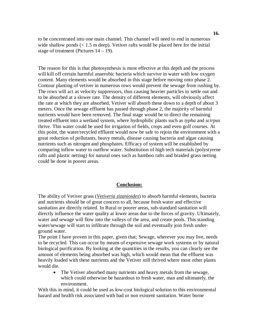to be concentrated into one main channel. This channel will need to end in numerous wide shallow ponds  $(< 1.5$  m deep). Vetiver rafts would be placed here for the initial stage of treatment (Pictures  $14 - 19$ ).

The reason for this is that photosynthesis is most effective at this depth and the process will kill off certain harmful anaerobic bacteria which survive in water with low oxygen content. Many elements would be absorbed in this stage before moving onto phase 2. Contour planting of vetiver in numerous rows would prevent the sewage from rushing by. The rows will act as velocity suppressors, thus causing heavier particles to settle out and to be absorbed at a slower rate. The density of different elements, will obviously affect the rate at which they are absorbed, Vetiver will absorb these down to a depth of about 3 meters. Once the sewage effluent has passed through phase 2, the majority of harmful nutrients would have been removed. The final stage would be to direct the remaining treated effluent into a wetland system, where hydrophilic plants such as *typha* and *scirpus* thrive. This water could be used for irrigation of fields, crops and even golf courses. At this point, the water/recycled effluent would now be safe to rejoin the environment with a great reduction of pollutants, heavy metals, disease causing bacteria and algae causing nutrients such as nitrogen and phosphates. Efficacy of system will be established by comparing inflow water to outflow water. Substitution of high tech materials (polystyrene rafts and plastic netting) for natural ones such as bamboo rafts and braided grass netting could be done in poorer areas.

#### **Conclusion:**

The ability of Vetiver grass (*Vetiveria zizanioides*) to absorb harmful elements, bacteria and nutrients should be of great concern to all, because fresh water and effective sanitation are directly related. In Rural or poorer areas, sub-standard sanitation will directly influence the water quality at lower areas due to the forces of gravity. Ultimately, water and sewage will flow into the valleys of the area, and create pools. This standing water/sewage will start to infiltrate through the soil and eventually join fresh underground water.

The point I have proven in this paper, given that; Sewage, wherever you may live, needs to be recycled. This can occur by means of expensive sewage work systems or by natural biological purification. By looking at the quantities in the results, you can clearly see the amount of elements being absorbed was high, which would mean that the effluent was heavily loaded with these nutrients and the Vetiver still thrived where most other plants would die.

• The Vetiver absorbed many nutrients and heavy metals from the sewage, which could otherwise be hazardous to fresh water, man and ultimately, the environment.

With this in mind, it could be used as low-cost biological solution to this environmental hazard and health risk associated with bad or non existent sanitation. Water borne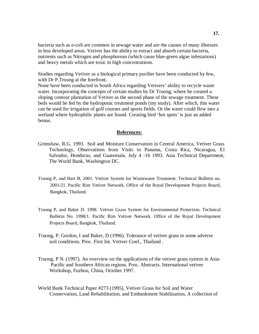bacteria such as e-coli are common in sewage water and are the causes of many illnesses in less developed areas. Vetiver has the ability to extract and absorb certain bacteria, nutrients such as Nitrogen and phosphorous (which cause blue-green algae infestations) and heavy metals which are toxic in high concentrations.

Studies regarding Vetiver as a biological primary purifier have been conducted by few, with Dr P.Troung at the forefront.

None have been conducted in South Africa regarding Vetivers' ability to recycle waste water. Incorporating the concepts of certain studies by Dr Truong; where he created a sloping contour plantation of Vetiver as the second phase of the sewage treatment. These beds would be fed by the hydroponic treatment ponds (my study). After which, this water can be used for irrigation of golf courses and sports fields. Or the water could flow into a wetland where hydrophilic plants are found. Creating bird 'hot spots' is just an added bonus.

#### **References:**

- Grimshaw, R.G. 1993. Soil and Moisture Conservation in Central America, Vetiver Grass Technology, Observations from Visits to Panama, Costa Rica, Nicaragua, El Salvador, Honduras, and Guatemala. July 4 -16 1993. Asia Technical Department, The World Bank, Washington DC.
- Truong P, and Hart B, 2001. Vetiver System for Wastewater Treatment. Technical Bulletin no. 2001/21. Pacific Rim Vetiver Network. Office of the Royal Development Projects Board, Bangkok, Thailand.
- Truong P, and Baker D. 1998. Vetiver Grass System for Environmental Protection. Technical Bulletin No. 1998/1. Pacific Rim Vetiver Network. Office of the Royal Development Projects Board, Bangkok, Thailand.
- Truong, P, Gordon, I and Baker, D (1996). Tolerance of vetiver grass to some adverse soil conditions. Proc. First Int. Vetiver Conf., Thailand .
- Truong, P N. (1997). An overview on the applications of the vetiver grass system in Asia- Pacific and Southern African regions. Proc. Abstracts. International vetiver Workshop, Fuzhou, China, October 1997.
- World Bank Technical Paper #273 (1995), Vetiver Grass for Soil and Water Conservation, Land Rehabilitation, and Embankment Stabilization, A collection of